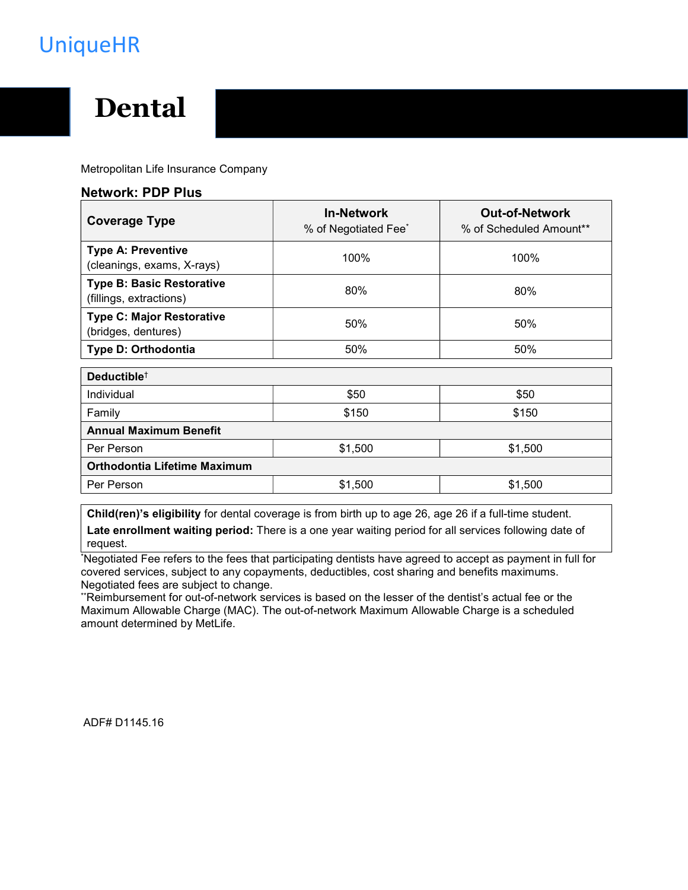## UniqueHR

# Dental

Metropolitan Life Insurance Company

#### Network: PDP Plus

| <b>Coverage Type</b>                                        | <b>In-Network</b><br>% of Negotiated Fee* | <b>Out-of-Network</b><br>% of Scheduled Amount** |
|-------------------------------------------------------------|-------------------------------------------|--------------------------------------------------|
| <b>Type A: Preventive</b><br>(cleanings, exams, X-rays)     | 100%                                      | 100%                                             |
| <b>Type B: Basic Restorative</b><br>(fillings, extractions) | 80%                                       | 80%                                              |
| <b>Type C: Major Restorative</b><br>(bridges, dentures)     | 50%                                       | 50%                                              |
| Type D: Orthodontia                                         | 50%                                       | 50%                                              |
| Deductible <sup>+</sup>                                     |                                           |                                                  |
| Individual                                                  | \$50                                      | \$50                                             |
| Family                                                      | \$150                                     | \$150                                            |
| <b>Annual Maximum Benefit</b>                               |                                           |                                                  |
| Per Person                                                  | \$1,500                                   | \$1,500                                          |
| <b>Orthodontia Lifetime Maximum</b>                         |                                           |                                                  |
| Per Person                                                  | \$1,500                                   | \$1,500                                          |

Child(ren)'s eligibility for dental coverage is from birth up to age 26, age 26 if a full-time student. Late enrollment waiting period: There is a one year waiting period for all services following date of request.

\*Negotiated Fee refers to the fees that participating dentists have agreed to accept as payment in full for covered services, subject to any copayments, deductibles, cost sharing and benefits maximums. Negotiated fees are subject to change.

\*\*Reimbursement for out-of-network services is based on the lesser of the dentist's actual fee or the Maximum Allowable Charge (MAC). The out-of-network Maximum Allowable Charge is a scheduled amount determined by MetLife.

ADF# D1145.16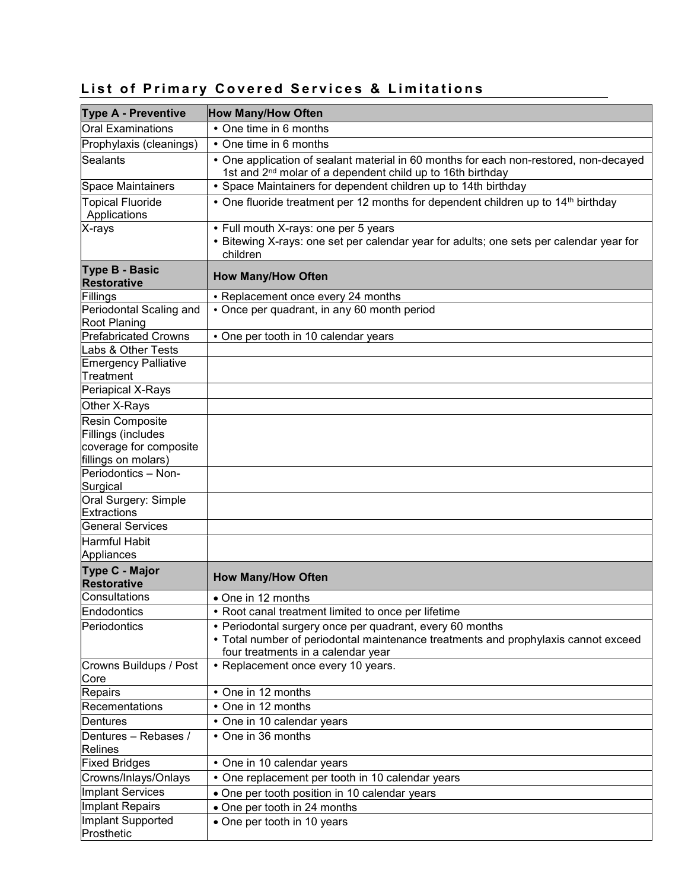| <b>Type A - Preventive</b>                  | <b>How Many/How Often</b>                                                                                                                                                            |
|---------------------------------------------|--------------------------------------------------------------------------------------------------------------------------------------------------------------------------------------|
| Oral Examinations                           | • One time in 6 months                                                                                                                                                               |
| Prophylaxis (cleanings)                     | • One time in 6 months                                                                                                                                                               |
| Sealants                                    | • One application of sealant material in 60 months for each non-restored, non-decayed<br>1st and 2 <sup>nd</sup> molar of a dependent child up to 16th birthday                      |
| Space Maintainers                           | • Space Maintainers for dependent children up to 14th birthday                                                                                                                       |
| <b>Topical Fluoride</b><br>Applications     | • One fluoride treatment per 12 months for dependent children up to 14 <sup>th</sup> birthday                                                                                        |
| X-rays                                      | • Full mouth X-rays: one per 5 years<br>• Bitewing X-rays: one set per calendar year for adults; one sets per calendar year for<br>children                                          |
| <b>Type B - Basic</b><br><b>Restorative</b> | <b>How Many/How Often</b>                                                                                                                                                            |
| Fillings                                    | • Replacement once every 24 months                                                                                                                                                   |
| Periodontal Scaling and<br>Root Planing     | • Once per quadrant, in any 60 month period                                                                                                                                          |
| <b>Prefabricated Crowns</b>                 | • One per tooth in 10 calendar years                                                                                                                                                 |
| Labs & Other Tests                          |                                                                                                                                                                                      |
| Emergency Palliative<br>Treatment           |                                                                                                                                                                                      |
| Periapical X-Rays                           |                                                                                                                                                                                      |
| Other X-Rays                                |                                                                                                                                                                                      |
| Resin Composite                             |                                                                                                                                                                                      |
| Fillings (includes                          |                                                                                                                                                                                      |
| coverage for composite                      |                                                                                                                                                                                      |
| fillings on molars)                         |                                                                                                                                                                                      |
| Periodontics - Non-                         |                                                                                                                                                                                      |
| Surgical<br>Oral Surgery: Simple            |                                                                                                                                                                                      |
| Extractions                                 |                                                                                                                                                                                      |
| General Services                            |                                                                                                                                                                                      |
| Harmful Habit                               |                                                                                                                                                                                      |
| Appliances                                  |                                                                                                                                                                                      |
| <b>Type C - Major</b><br><b>Restorative</b> | <b>How Many/How Often</b>                                                                                                                                                            |
| Consultations                               | • One in 12 months                                                                                                                                                                   |
| Endodontics                                 | • Root canal treatment limited to once per lifetime                                                                                                                                  |
| Periodontics                                | • Periodontal surgery once per quadrant, every 60 months<br>• Total number of periodontal maintenance treatments and prophylaxis cannot exceed<br>four treatments in a calendar year |
| Crowns Buildups / Post<br>Core              | • Replacement once every 10 years.                                                                                                                                                   |
| Repairs                                     | • One in 12 months                                                                                                                                                                   |
| Recementations                              | • One in 12 months                                                                                                                                                                   |
| Dentures                                    | • One in 10 calendar years                                                                                                                                                           |
| Dentures - Rebases /<br>Relines             | • One in 36 months                                                                                                                                                                   |
| <b>Fixed Bridges</b>                        | • One in 10 calendar years                                                                                                                                                           |
| Crowns/Inlays/Onlays                        | • One replacement per tooth in 10 calendar years                                                                                                                                     |
| Implant Services                            | • One per tooth position in 10 calendar years                                                                                                                                        |
| Implant Repairs                             | • One per tooth in 24 months                                                                                                                                                         |
| Implant Supported<br>Prosthetic             | • One per tooth in 10 years                                                                                                                                                          |

## List of Primary Covered Services & Limitations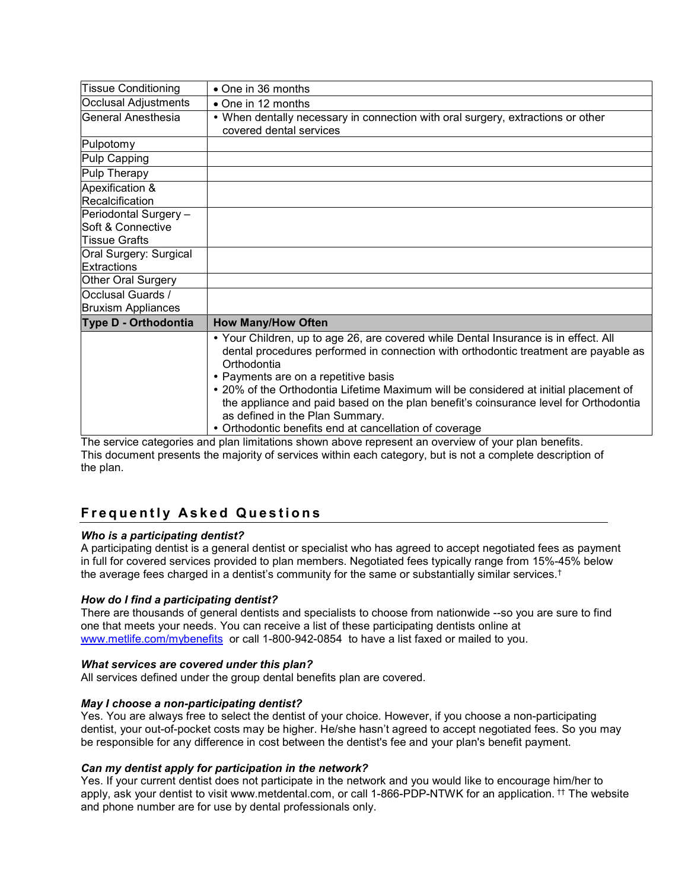| <b>Tissue Conditioning</b>                     | $\bullet$ One in 36 months                                                                                                                                                                                                                                                                                                                                                                                                                                                                                     |
|------------------------------------------------|----------------------------------------------------------------------------------------------------------------------------------------------------------------------------------------------------------------------------------------------------------------------------------------------------------------------------------------------------------------------------------------------------------------------------------------------------------------------------------------------------------------|
| Occlusal Adjustments                           | • One in 12 months                                                                                                                                                                                                                                                                                                                                                                                                                                                                                             |
| General Anesthesia                             | • When dentally necessary in connection with oral surgery, extractions or other<br>covered dental services                                                                                                                                                                                                                                                                                                                                                                                                     |
| Pulpotomy                                      |                                                                                                                                                                                                                                                                                                                                                                                                                                                                                                                |
| Pulp Capping                                   |                                                                                                                                                                                                                                                                                                                                                                                                                                                                                                                |
| Pulp Therapy                                   |                                                                                                                                                                                                                                                                                                                                                                                                                                                                                                                |
| Apexification &<br>Recalcification             |                                                                                                                                                                                                                                                                                                                                                                                                                                                                                                                |
| Periodontal Surgery -<br>Soft & Connective     |                                                                                                                                                                                                                                                                                                                                                                                                                                                                                                                |
| <b>Tissue Grafts</b>                           |                                                                                                                                                                                                                                                                                                                                                                                                                                                                                                                |
| Oral Surgery: Surgical<br>Extractions          |                                                                                                                                                                                                                                                                                                                                                                                                                                                                                                                |
| Other Oral Surgery                             |                                                                                                                                                                                                                                                                                                                                                                                                                                                                                                                |
| Occlusal Guards /<br><b>Bruxism Appliances</b> |                                                                                                                                                                                                                                                                                                                                                                                                                                                                                                                |
| Type D - Orthodontia                           | <b>How Many/How Often</b>                                                                                                                                                                                                                                                                                                                                                                                                                                                                                      |
|                                                | • Your Children, up to age 26, are covered while Dental Insurance is in effect. All<br>dental procedures performed in connection with orthodontic treatment are payable as<br>Orthodontia<br>• Payments are on a repetitive basis<br>• 20% of the Orthodontia Lifetime Maximum will be considered at initial placement of<br>the appliance and paid based on the plan benefit's coinsurance level for Orthodontia<br>as defined in the Plan Summary.<br>• Orthodontic benefits end at cancellation of coverage |

The service categories and plan limitations shown above represent an overview of your plan benefits. This document presents the majority of services within each category, but is not a complete description of the plan.

## **Frequently Asked Questions**

#### Who is a participating dentist?

A participating dentist is a general dentist or specialist who has agreed to accept negotiated fees as payment in full for covered services provided to plan members. Negotiated fees typically range from 15%-45% below the average fees charged in a dentist's community for the same or substantially similar services.†

#### How do I find a participating dentist?

There are thousands of general dentists and specialists to choose from nationwide --so you are sure to find one that meets your needs. You can receive a list of these participating dentists online at www.metlife.com/mybenefits or call 1-800-942-0854 to have a list faxed or mailed to you.

#### What services are covered under this plan?

All services defined under the group dental benefits plan are covered.

#### May I choose a non-participating dentist?

Yes. You are always free to select the dentist of your choice. However, if you choose a non-participating dentist, your out-of-pocket costs may be higher. He/she hasn't agreed to accept negotiated fees. So you may be responsible for any difference in cost between the dentist's fee and your plan's benefit payment.

#### Can my dentist apply for participation in the network?

Yes. If your current dentist does not participate in the network and you would like to encourage him/her to apply, ask your dentist to visit www.metdental.com, or call 1-866-PDP-NTWK for an application. †† The website and phone number are for use by dental professionals only.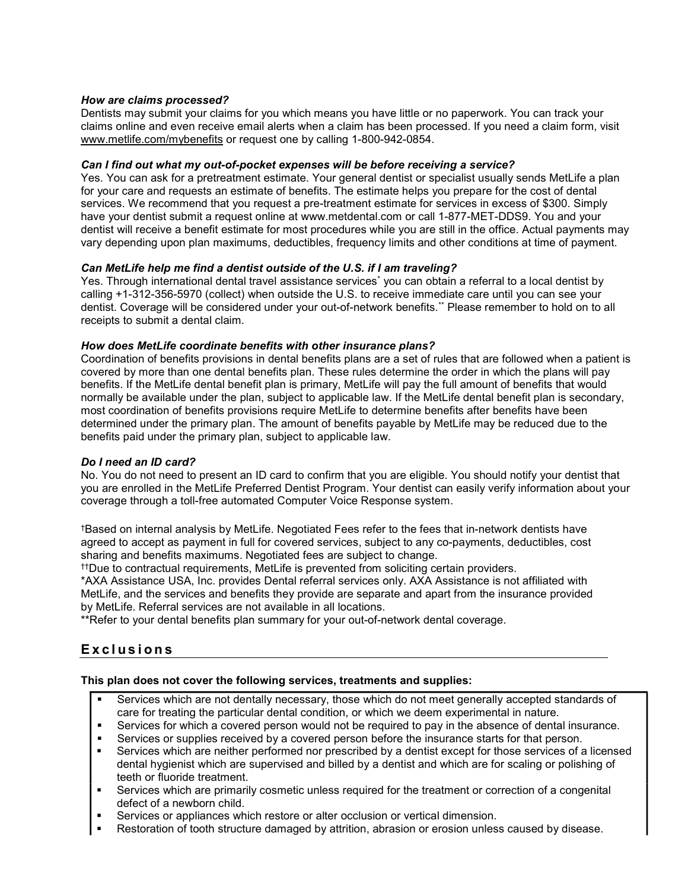#### How are claims processed?

Dentists may submit your claims for you which means you have little or no paperwork. You can track your claims online and even receive email alerts when a claim has been processed. If you need a claim form, visit www.metlife.com/mybenefits or request one by calling 1-800-942-0854.

#### Can I find out what my out-of-pocket expenses will be before receiving a service?

Yes. You can ask for a pretreatment estimate. Your general dentist or specialist usually sends MetLife a plan for your care and requests an estimate of benefits. The estimate helps you prepare for the cost of dental services. We recommend that you request a pre-treatment estimate for services in excess of \$300. Simply have your dentist submit a request online at www.metdental.com or call 1-877-MET-DDS9. You and your dentist will receive a benefit estimate for most procedures while you are still in the office. Actual payments may vary depending upon plan maximums, deductibles, frequency limits and other conditions at time of payment.

#### Can MetLife help me find a dentist outside of the U.S. if I am traveling?

Yes. Through international dental travel assistance services<sup>\*</sup> you can obtain a referral to a local dentist by calling +1-312-356-5970 (collect) when outside the U.S. to receive immediate care until you can see your dentist. Coverage will be considered under your out-of-network benefits.\*\* Please remember to hold on to all receipts to submit a dental claim.

#### How does MetLife coordinate benefits with other insurance plans?

Coordination of benefits provisions in dental benefits plans are a set of rules that are followed when a patient is covered by more than one dental benefits plan. These rules determine the order in which the plans will pay benefits. If the MetLife dental benefit plan is primary, MetLife will pay the full amount of benefits that would normally be available under the plan, subject to applicable law. If the MetLife dental benefit plan is secondary, most coordination of benefits provisions require MetLife to determine benefits after benefits have been determined under the primary plan. The amount of benefits payable by MetLife may be reduced due to the benefits paid under the primary plan, subject to applicable law.

#### Do I need an ID card?

No. You do not need to present an ID card to confirm that you are eligible. You should notify your dentist that you are enrolled in the MetLife Preferred Dentist Program. Your dentist can easily verify information about your coverage through a toll-free automated Computer Voice Response system.

†Based on internal analysis by MetLife. Negotiated Fees refer to the fees that in-network dentists have agreed to accept as payment in full for covered services, subject to any co-payments, deductibles, cost sharing and benefits maximums. Negotiated fees are subject to change.

††Due to contractual requirements, MetLife is prevented from soliciting certain providers.

\*AXA Assistance USA, Inc. provides Dental referral services only. AXA Assistance is not affiliated with MetLife, and the services and benefits they provide are separate and apart from the insurance provided by MetLife. Referral services are not available in all locations.

\*\*Refer to your dental benefits plan summary for your out-of-network dental coverage.

### **Exclusions**

#### This plan does not cover the following services, treatments and supplies:

- Services which are not dentally necessary, those which do not meet generally accepted standards of care for treating the particular dental condition, or which we deem experimental in nature.
- Services for which a covered person would not be required to pay in the absence of dental insurance.
- Services or supplies received by a covered person before the insurance starts for that person.
- Services which are neither performed nor prescribed by a dentist except for those services of a licensed dental hygienist which are supervised and billed by a dentist and which are for scaling or polishing of teeth or fluoride treatment.
- Services which are primarily cosmetic unless required for the treatment or correction of a congenital defect of a newborn child.
- Services or appliances which restore or alter occlusion or vertical dimension.
- Restoration of tooth structure damaged by attrition, abrasion or erosion unless caused by disease.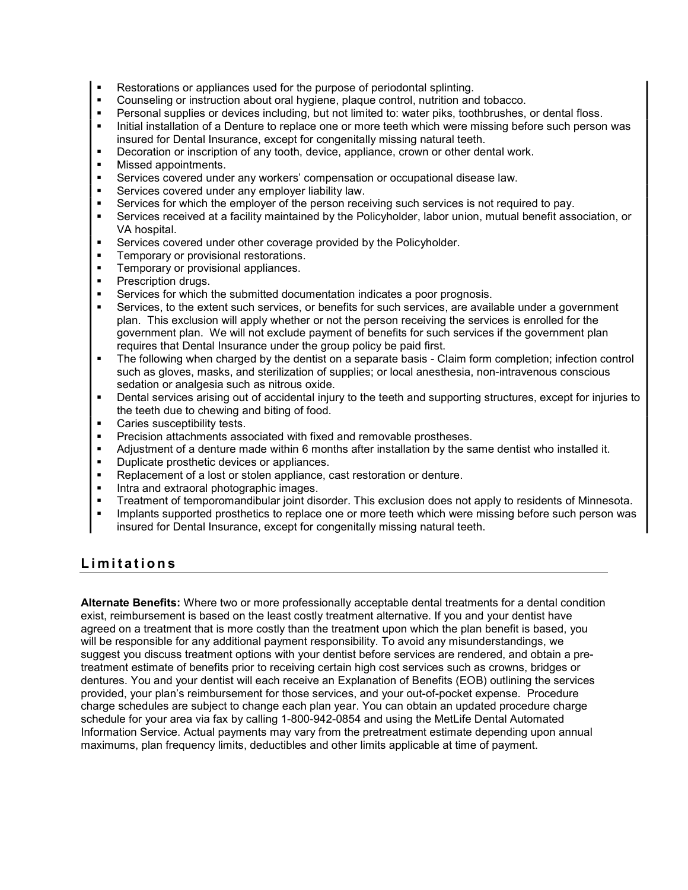- Restorations or appliances used for the purpose of periodontal splinting.
- Counseling or instruction about oral hygiene, plaque control, nutrition and tobacco.
- Personal supplies or devices including, but not limited to: water piks, toothbrushes, or dental floss.
- Initial installation of a Denture to replace one or more teeth which were missing before such person was insured for Dental Insurance, except for congenitally missing natural teeth.
- Decoration or inscription of any tooth, device, appliance, crown or other dental work.
- Missed appointments.
- Services covered under any workers' compensation or occupational disease law.
- Services covered under any employer liability law.
- Services for which the employer of the person receiving such services is not required to pay.
- Services received at a facility maintained by the Policyholder, labor union, mutual benefit association, or VA hospital.
- Services covered under other coverage provided by the Policyholder.
- Temporary or provisional restorations.
- Temporary or provisional appliances.
- Prescription drugs.
- Services for which the submitted documentation indicates a poor prognosis.
- Services, to the extent such services, or benefits for such services, are available under a government plan. This exclusion will apply whether or not the person receiving the services is enrolled for the government plan. We will not exclude payment of benefits for such services if the government plan requires that Dental Insurance under the group policy be paid first.
- The following when charged by the dentist on a separate basis Claim form completion; infection control such as gloves, masks, and sterilization of supplies; or local anesthesia, non-intravenous conscious sedation or analgesia such as nitrous oxide.
- Dental services arising out of accidental injury to the teeth and supporting structures, except for injuries to the teeth due to chewing and biting of food.
- Caries susceptibility tests.
- Precision attachments associated with fixed and removable prostheses.
- Adjustment of a denture made within 6 months after installation by the same dentist who installed it.
- Duplicate prosthetic devices or appliances.
- Replacement of a lost or stolen appliance, cast restoration or denture.
- **Intra and extraoral photographic images.**
- Treatment of temporomandibular joint disorder. This exclusion does not apply to residents of Minnesota.
- Implants supported prosthetics to replace one or more teeth which were missing before such person was insured for Dental Insurance, except for congenitally missing natural teeth.

#### Limitations

Alternate Benefits: Where two or more professionally acceptable dental treatments for a dental condition exist, reimbursement is based on the least costly treatment alternative. If you and your dentist have agreed on a treatment that is more costly than the treatment upon which the plan benefit is based, you will be responsible for any additional payment responsibility. To avoid any misunderstandings, we suggest you discuss treatment options with your dentist before services are rendered, and obtain a pretreatment estimate of benefits prior to receiving certain high cost services such as crowns, bridges or dentures. You and your dentist will each receive an Explanation of Benefits (EOB) outlining the services provided, your plan's reimbursement for those services, and your out-of-pocket expense. Procedure charge schedules are subject to change each plan year. You can obtain an updated procedure charge schedule for your area via fax by calling 1-800-942-0854 and using the MetLife Dental Automated Information Service. Actual payments may vary from the pretreatment estimate depending upon annual maximums, plan frequency limits, deductibles and other limits applicable at time of payment.